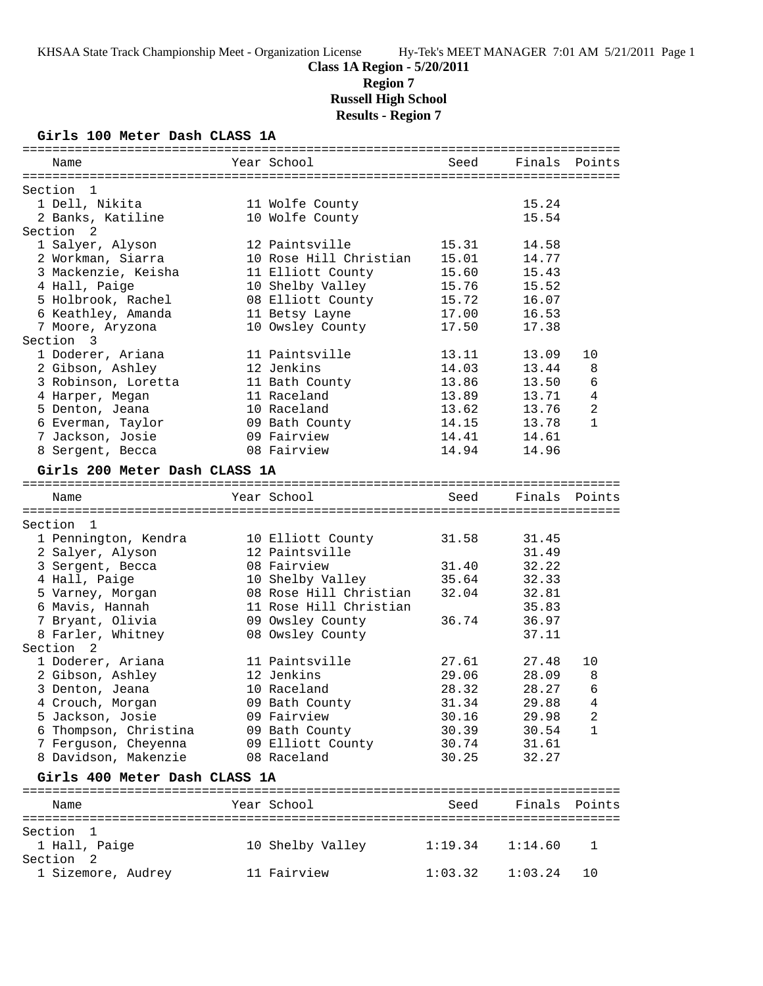**Class 1A Region - 5/20/2011 Region 7**

**Russell High School**

**Results - Region 7**

# **Girls 100 Meter Dash CLASS 1A**

| Name                                | Year School                                | Seed           | Finals Points  |              |
|-------------------------------------|--------------------------------------------|----------------|----------------|--------------|
|                                     |                                            |                |                |              |
| Section<br>- 1<br>1 Dell, Nikita    |                                            |                | 15.24          |              |
| 2 Banks, Katiline                   | 11 Wolfe County<br>10 Wolfe County         |                | 15.54          |              |
| Section<br>- 2                      |                                            |                |                |              |
| 1 Salyer, Alyson                    | 12 Paintsville                             | 15.31          | 14.58          |              |
| 2 Workman, Siarra                   | 10 Rose Hill Christian                     | 15.01          | 14.77          |              |
| 3 Mackenzie, Keisha                 | 11 Elliott County                          | 15.60          | 15.43          |              |
| 4 Hall, Paige                       | 10 Shelby Valley                           | 15.76          | 15.52          |              |
| 5 Holbrook, Rachel                  | 08 Elliott County                          | 15.72          | 16.07          |              |
| 6 Keathley, Amanda                  | 11 Betsy Layne                             | 17.00          | 16.53          |              |
| 7 Moore, Aryzona                    | 10 Owsley County                           | 17.50          | 17.38          |              |
| Section 3                           |                                            |                |                |              |
| 1 Doderer, Ariana                   | 11 Paintsville                             | 13.11          | 13.09          | 10           |
| 2 Gibson, Ashley                    | 12 Jenkins                                 | 14.03          | 13.44          | 8            |
| 3 Robinson, Loretta                 | 11 Bath County                             | 13.86          | 13.50          | 6            |
| 4 Harper, Megan                     | 11 Raceland                                | 13.89          | 13.71          | 4            |
| 5 Denton, Jeana                     | 10 Raceland                                | 13.62          | 13.76          | 2            |
| 6 Everman, Taylor                   | 09 Bath County                             | 14.15          | 13.78          | $\mathbf{1}$ |
| 7 Jackson, Josie                    | 09 Fairview                                | 14.41          | 14.61          |              |
| 8 Sergent, Becca                    | 08 Fairview                                | 14.94          | 14.96          |              |
| Girls 200 Meter Dash CLASS 1A       |                                            |                |                |              |
|                                     |                                            |                |                |              |
| Name                                | Year School                                | Seed           | Finals         | Points       |
|                                     |                                            |                |                |              |
| Section 1                           |                                            |                |                |              |
| 1 Pennington, Kendra                | 10 Elliott County                          | 31.58          | 31.45          |              |
| 2 Salyer, Alyson                    | 12 Paintsville                             |                | 31.49          |              |
| 3 Sergent, Becca                    | 08 Fairview                                | 31.40<br>35.64 | 32.22<br>32.33 |              |
| 4 Hall, Paige                       | 10 Shelby Valley<br>08 Rose Hill Christian | 32.04          | 32.81          |              |
| 5 Varney, Morgan<br>6 Mavis, Hannah | 11 Rose Hill Christian                     |                | 35.83          |              |
| 7 Bryant, Olivia                    | 09 Owsley County                           | 36.74          | 36.97          |              |
| 8 Farler, Whitney                   | 08 Owsley County                           |                | 37.11          |              |
| Section 2                           |                                            |                |                |              |
| 1 Doderer, Ariana                   | 11 Paintsville                             | 27.61          | 27.48          | 10           |
| 2 Gibson, Ashley                    | 12 Jenkins                                 | 29.06          | 28.09          | 8            |
| 3 Denton, Jeana                     | 10 Raceland                                | 28.32          | 28.27          | 6            |
| 4 Crouch, Morgan                    | 09 Bath County                             | 31.34          | 29.88          | 4            |
| 5 Jackson, Josie                    | 09 Fairview                                | 30.16          | 29.98          | 2            |
| 6 Thompson, Christina               | 09 Bath County                             | 30.39          | 30.54          | $\mathbf{1}$ |
| 7 Ferguson, Cheyenna                | 09 Elliott County                          | 30.74          | 31.61          |              |
| 8 Davidson, Makenzie                | 08 Raceland                                | 30.25          | 32.27          |              |
|                                     |                                            |                |                |              |
| Girls 400 Meter Dash CLASS 1A       |                                            |                |                |              |
|                                     | Year School                                | Seed           | Finals Points  |              |
| Name                                |                                            |                |                |              |
| Section<br>- 1                      |                                            |                |                |              |
| 1 Hall, Paige                       | 10 Shelby Valley                           | 1:19.34        | 1:14.60        | 1            |
| Section<br>$\overline{2}$           |                                            |                |                |              |
| 1 Sizemore, Audrey                  | 11 Fairview                                | 1:03.32        | 1:03.24        | 10           |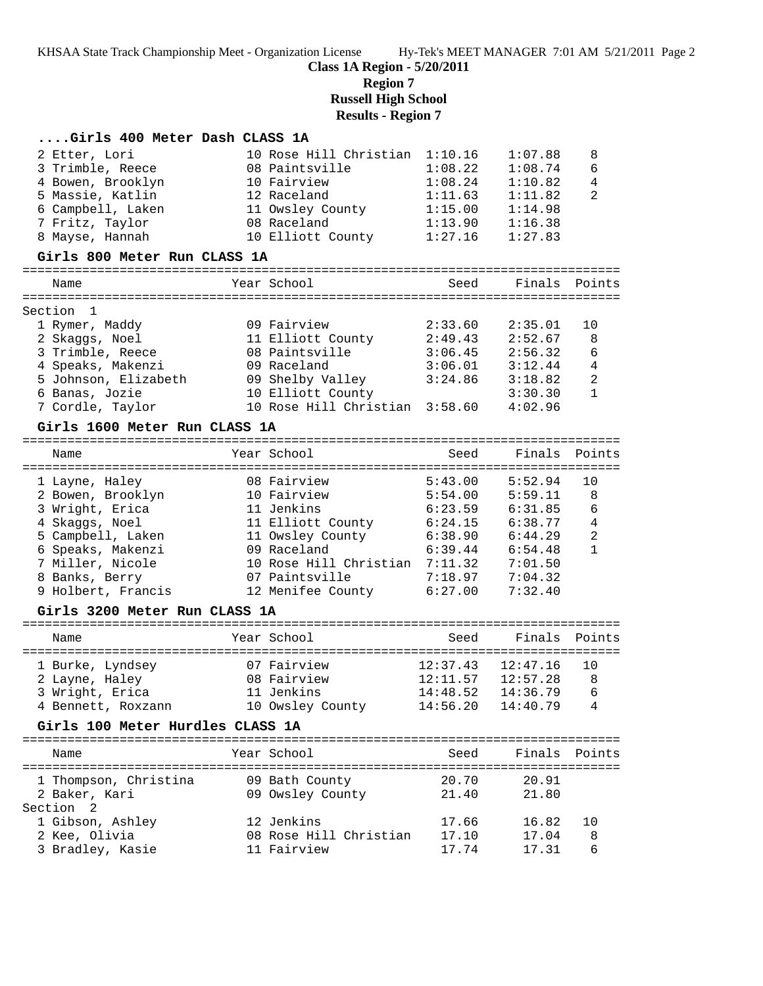**Class 1A Region - 5/20/2011**

**Region 7**

**Russell High School**

## **Results - Region 7**

| Girls 400 Meter Dash CLASS 1A    |                                |          |          |                |
|----------------------------------|--------------------------------|----------|----------|----------------|
| 2 Etter, Lori                    | 10 Rose Hill Christian         | 1:10.16  | 1:07.88  | 8              |
| 3 Trimble, Reece                 | 08 Paintsville                 | 1:08.22  | 1:08.74  | 6              |
| 4 Bowen, Brooklyn                | 10 Fairview                    | 1:08.24  | 1:10.82  | $\overline{4}$ |
| 5 Massie, Katlin                 | 12 Raceland                    | 1:11.63  | 1:11.82  | 2              |
| 6 Campbell, Laken                | 11 Owsley County               | 1:15.00  | 1:14.98  |                |
| 7 Fritz, Taylor                  | 08 Raceland                    | 1:13.90  | 1:16.38  |                |
| 8 Mayse, Hannah                  | 10 Elliott County              | 1:27.16  | 1:27.83  |                |
| Girls 800 Meter Run CLASS 1A     |                                |          |          |                |
| Name                             | Year School                    | Seed     | Finals   | Points         |
|                                  |                                |          |          |                |
| Section<br>1                     |                                |          |          |                |
| 1 Rymer, Maddy                   | 09 Fairview                    | 2:33.60  | 2:35.01  | 10             |
| 2 Skaggs, Noel                   | 11 Elliott County              | 2:49.43  | 2:52.67  | 8              |
| 3 Trimble, Reece                 | 08 Paintsville                 | 3:06.45  | 2:56.32  | 6              |
| 4 Speaks, Makenzi                | 09 Raceland                    | 3:06.01  | 3:12.44  | $\overline{4}$ |
| 5 Johnson, Elizabeth             | 09 Shelby Valley               | 3:24.86  | 3:18.82  | 2              |
| 6 Banas, Jozie                   | 10 Elliott County              |          | 3:30.30  | $\mathbf{1}$   |
| 7 Cordle, Taylor                 | 10 Rose Hill Christian 3:58.60 |          | 4:02.96  |                |
| Girls 1600 Meter Run CLASS 1A    |                                |          |          |                |
| Name                             | Year School                    | Seed     | Finals   | Points         |
|                                  |                                |          |          |                |
| 1 Layne, Haley                   | 08 Fairview                    | 5:43.00  | 5:52.94  | 10             |
| 2 Bowen, Brooklyn                | 10 Fairview                    | 5:54.00  | 5:59.11  | 8              |
| 3 Wright, Erica                  | 11 Jenkins                     | 6:23.59  | 6:31.85  | 6              |
| 4 Skaggs, Noel                   | 11 Elliott County              | 6:24.15  | 6:38.77  | $\overline{4}$ |
| 5 Campbell, Laken                | 11 Owsley County               | 6:38.90  | 6:44.29  | 2              |
| 6 Speaks, Makenzi                | 09 Raceland                    | 6:39.44  | 6:54.48  | $\mathbf{1}$   |
| 7 Miller, Nicole                 | 10 Rose Hill Christian 7:11.32 |          | 7:01.50  |                |
| 8 Banks, Berry                   | 07 Paintsville                 | 7:18.97  | 7:04.32  |                |
| 9 Holbert, Francis               | 12 Menifee County              | 6:27.00  | 7:32.40  |                |
| Girls 3200 Meter Run CLASS 1A    |                                |          |          |                |
| Name                             | Year School                    | Seed     | Finals   | Points         |
|                                  |                                |          |          |                |
| 1 Burke, Lyndsey                 | 07 Fairview                    | 12:37.43 | 12:47.16 | 10             |
| 2 Layne, Haley                   | 08 Fairview                    | 12:11.57 | 12:57.28 | 8              |
| 3 Wright, Erica                  | 11 Jenkins                     | 14:48.52 | 14:36.79 | 6              |
| 4 Bennett, Roxzann               | 10 Owsley County               | 14:56.20 | 14:40.79 | 4              |
| Girls 100 Meter Hurdles CLASS 1A |                                |          |          |                |
| Name                             | Year School                    | Seed     | Finals   | Points         |
| 1 Thompson, Christina            | 09 Bath County                 | 20.70    | 20.91    |                |
| 2 Baker, Kari                    | 09 Owsley County               | 21.40    | 21.80    |                |
| Section <sub>2</sub>             |                                |          |          |                |
| 1 Gibson, Ashley                 | 12 Jenkins                     | 17.66    | 16.82    | 10             |
| 2 Kee, Olivia                    | 08 Rose Hill Christian         | 17.10    | 17.04    | 8              |
| 3 Bradley, Kasie                 | 11 Fairview                    | 17.74    | 17.31    | 6              |
|                                  |                                |          |          |                |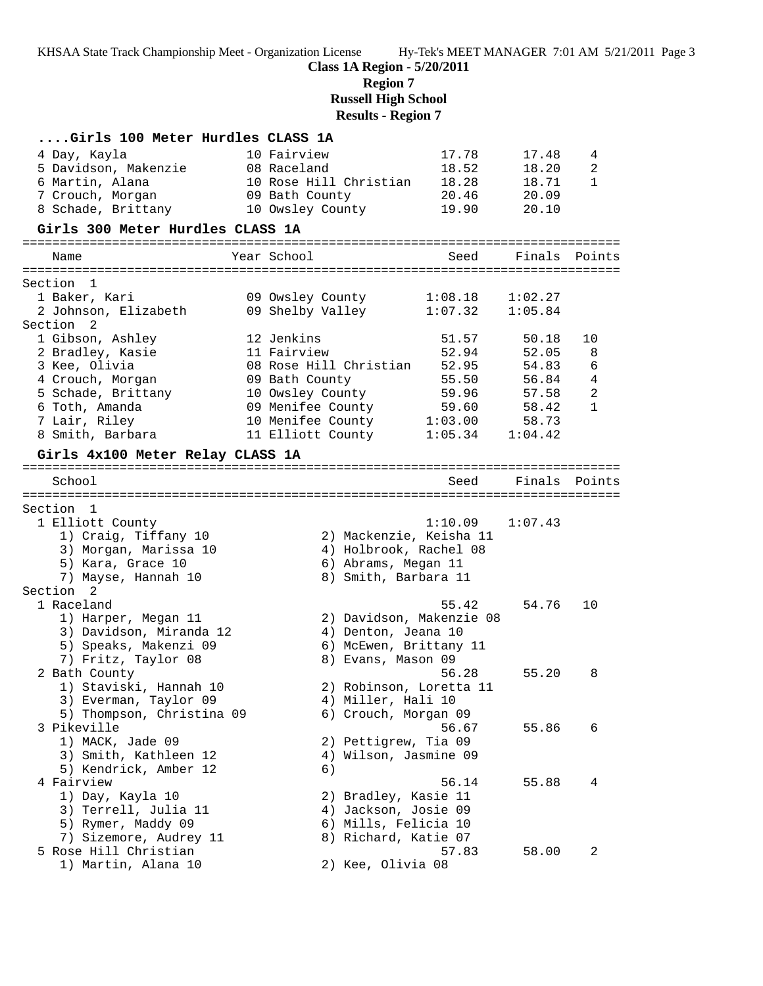**Class 1A Region - 5/20/2011**

**Region 7**

**Russell High School**

# **Results - Region 7**

| Girls 100 Meter Hurdles CLASS 1A                                                                                           |                                                                                                  |                                           |                                           |                        |
|----------------------------------------------------------------------------------------------------------------------------|--------------------------------------------------------------------------------------------------|-------------------------------------------|-------------------------------------------|------------------------|
| 4 Day, Kayla<br>5 Davidson, Makenzie<br>6 Martin, Alana<br>7 Crouch, Morgan<br>8 Schade, Brittany                          | 10 Fairview<br>08 Raceland<br>10 Rose Hill Christian<br>09 Bath County<br>10 Owsley County       | 17.78<br>18.52<br>18.28<br>20.46<br>19.90 | 17.48<br>18.20<br>18.71<br>20.09<br>20.10 | 4<br>2<br>$\mathbf{1}$ |
| Girls 300 Meter Hurdles CLASS 1A                                                                                           |                                                                                                  |                                           |                                           |                        |
| Name                                                                                                                       | Year School                                                                                      | Seed                                      | Finals                                    | Points                 |
|                                                                                                                            |                                                                                                  |                                           |                                           |                        |
| Section<br>-1                                                                                                              |                                                                                                  |                                           |                                           |                        |
| 1 Baker, Kari<br>2 Johnson, Elizabeth                                                                                      | 09 Owsley County<br>09 Shelby Valley                                                             | 1:08.18<br>1:07.32                        | 1:02.27<br>1:05.84                        |                        |
| Section 2                                                                                                                  |                                                                                                  |                                           |                                           |                        |
| 1 Gibson, Ashley                                                                                                           | 12 Jenkins                                                                                       | 51.57                                     | 50.18                                     | 10                     |
| 2 Bradley, Kasie                                                                                                           | 11 Fairview                                                                                      | 52.94                                     | 52.05                                     | 8                      |
| 3 Kee, Olivia                                                                                                              | 08 Rose Hill Christian                                                                           | 52.95                                     | 54.83                                     | 6                      |
| 4 Crouch, Morgan                                                                                                           | 09 Bath County                                                                                   | 55.50                                     | 56.84                                     | $\overline{4}$         |
| 5 Schade, Brittany                                                                                                         | 10 Owsley County                                                                                 | 59.96                                     | 57.58                                     | $\overline{c}$         |
| 6 Toth, Amanda                                                                                                             | 09 Menifee County<br>10 Menifee County 1:03.00                                                   | 59.60                                     | 58.42                                     | $\mathbf{1}$           |
| 7 Lair, Riley<br>8 Smith, Barbara                                                                                          | 11 Elliott County                                                                                | 1:05.34                                   | 58.73<br>1:04.42                          |                        |
|                                                                                                                            |                                                                                                  |                                           |                                           |                        |
| Girls 4x100 Meter Relay CLASS 1A                                                                                           |                                                                                                  |                                           |                                           |                        |
| School                                                                                                                     |                                                                                                  | Seed                                      | Finals Points                             |                        |
|                                                                                                                            |                                                                                                  |                                           |                                           |                        |
| Section 1<br>1 Elliott County<br>1) Craig, Tiffany 10<br>3) Morgan, Marissa 10<br>5) Kara, Grace 10<br>7) Mayse, Hannah 10 | 2) Mackenzie, Keisha 11<br>4) Holbrook, Rachel 08<br>6) Abrams, Megan 11<br>8) Smith, Barbara 11 | 1:10.09                                   | 1:07.43                                   |                        |
| Section 2                                                                                                                  |                                                                                                  |                                           |                                           |                        |
| 1 Raceland<br>1) Harper, Megan 11<br>3) Davidson, Miranda 12<br>5) Speaks, Makenzi 09<br>7) Fritz, Taylor 08               | 2) Davidson, Makenzie 08<br>4) Denton, Jeana 10<br>6) McEwen, Brittany 11<br>8) Evans, Mason 09  | 55.42                                     | 54.76                                     | 10                     |
| 2 Bath County<br>1) Staviski, Hannah 10<br>3) Everman, Taylor 09<br>5) Thompson, Christina 09                              | 2) Robinson, Loretta 11<br>4) Miller, Hali 10<br>6) Crouch, Morgan 09                            | 56.28                                     | 55.20                                     | 8                      |
| 3 Pikeville<br>1) MACK, Jade 09<br>3) Smith, Kathleen 12<br>5) Kendrick, Amber 12                                          | 2) Pettigrew, Tia 09<br>4) Wilson, Jasmine 09<br>6)                                              | 56.67                                     | 55.86                                     | 6                      |
| 4 Fairview<br>1) Day, Kayla 10<br>3) Terrell, Julia 11<br>5) Rymer, Maddy 09<br>7) Sizemore, Audrey 11                     | 2) Bradley, Kasie 11<br>4) Jackson, Josie 09<br>6) Mills, Felicia 10<br>8) Richard, Katie 07     | 56.14                                     | 55.88                                     | 4                      |
| 5 Rose Hill Christian<br>1) Martin, Alana 10                                                                               | 2) Kee, Olivia 08                                                                                | 57.83                                     | 58.00                                     | 2                      |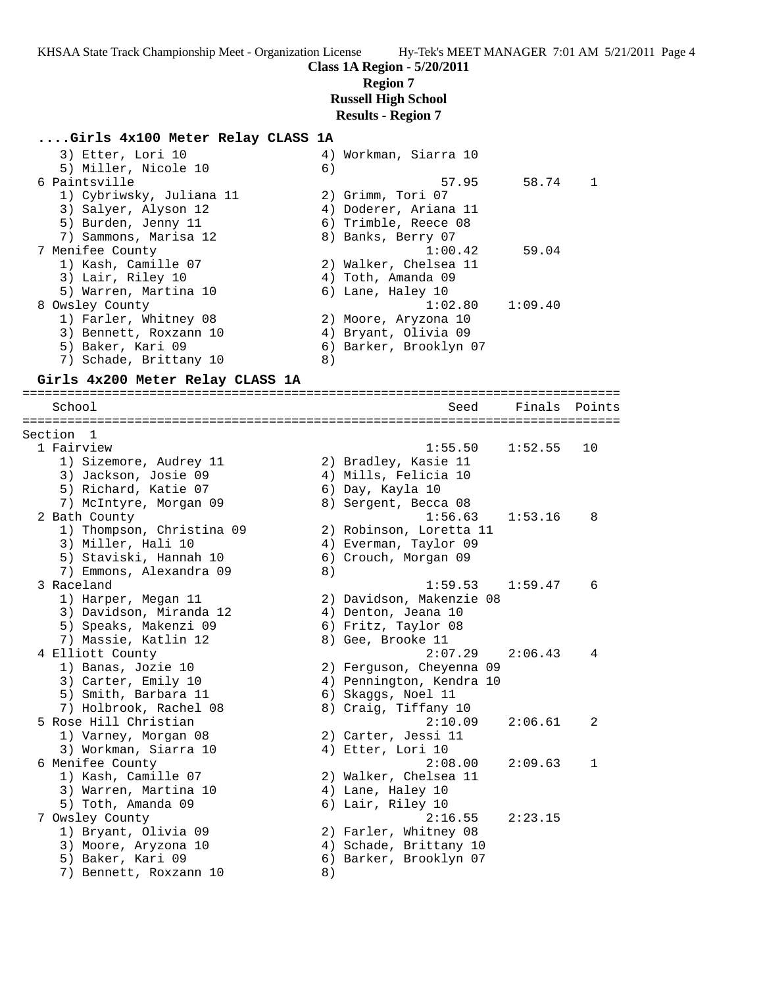#### **Class 1A Region - 5/20/2011 Region 7**

**Russell High School Results - Region 7**

#### **....Girls 4x100 Meter Relay CLASS 1A**

| 4) Workman, Siarra 10  |         |              |
|------------------------|---------|--------------|
| 6)                     |         |              |
| 57.95                  | 58.74   | $\mathbf{1}$ |
| 2) Grimm, Tori 07      |         |              |
| 4) Doderer, Ariana 11  |         |              |
| 6) Trimble, Reece 08   |         |              |
| 8) Banks, Berry 07     |         |              |
|                        | 59.04   |              |
| 2) Walker, Chelsea 11  |         |              |
| 4) Toth, Amanda 09     |         |              |
| 6) Lane, Haley 10      |         |              |
| 1:02.80                | 1:09.40 |              |
| 2) Moore, Aryzona 10   |         |              |
| 4) Bryant, Olivia 09   |         |              |
| 6) Barker, Brooklyn 07 |         |              |
| 8                      |         |              |
|                        |         | 1:00.42      |

#### **Girls 4x200 Meter Relay CLASS 1A**

================================================================================ School Seed Finals Points ================================================================================ Section 1<br>1 Fairview 1 Fairview 1:55.50 1:52.55 10 1) Sizemore, Audrey 11 2) Bradley, Kasie 11 3) Jackson, Josie 09 4) Mills, Felicia 10 5) Richard, Katie 07 6) Day, Kayla 10 7) McIntyre, Morgan 09  $\hskip 1.5 cm 8)$  Sergent, Becca 08 2 Bath County 1:56.63 1:53.16 8 1) Thompson, Christina 09 2) Robinson, Loretta 11 3) Miller, Hali 10 4) Everman, Taylor 09 5) Staviski, Hannah 10 6) Crouch, Morgan 09 7) Emmons, Alexandra 09 (8) 3 Raceland 1:59.53 1:59.47 6 1) Harper, Megan 11 2) Davidson, Makenzie 08 3) Davidson, Miranda 12 4) Denton, Jeana 10 5) Speaks, Makenzi 09 6) Fritz, Taylor 08 7) Massie, Katlin 12 and 8) Gee, Brooke 11 4 Elliott County 2:07.29 2:06.43 4 1) Banas, Jozie 10 2) Ferguson, Cheyenna 09 3) Carter, Emily 10 4) Pennington, Kendra 10 5) Smith, Barbara 11 (6) Skaggs, Noel 11 7) Holbrook, Rachel 08 8) Craig, Tiffany 10 5 Rose Hill Christian 2:10.09 2:06.61 2 1) Varney, Morgan 08 2) Carter, Jessi 11 3) Workman, Siarra 10  $\hspace{1cm}$  4) Etter, Lori 10 6 Menifee County 2:08.00 2:09.63 1 1) Kash, Camille 07 2) Walker, Chelsea 11 3) Warren, Martina 10  $\hskip1cm \hskip1cm 4$ ) Lane, Haley 10 5) Toth, Amanda 09 6) Lair, Riley 10 7 Owsley County 2:16.55 2:23.15 1) Bryant, Olivia 09 2) Farler, Whitney 08 3) Moore, Aryzona 10 4) Schade, Brittany 10 5) Baker, Kari 09 6) Barker, Brooklyn 07 7) Bennett, Roxzann 10 8)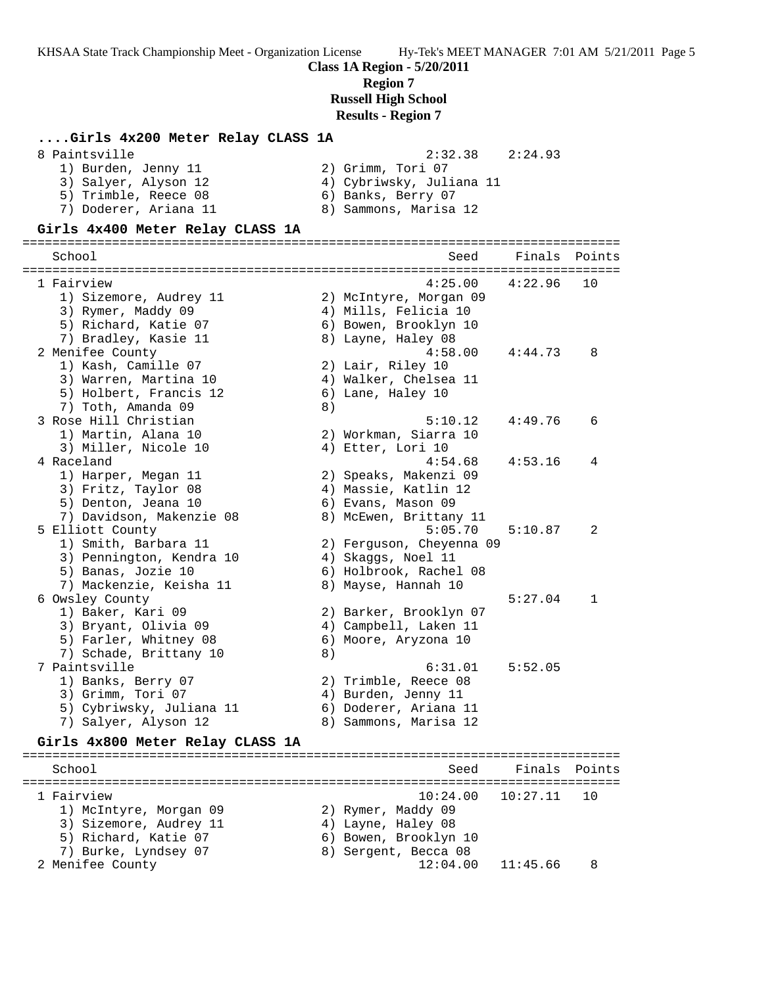**Class 1A Region - 5/20/2011**

**Region 7**

**Russell High School**

**Results - Region 7**

# **....Girls 4x200 Meter Relay CLASS 1A**

| 8 Paintsville         | 2:32.38<br>2:24.93       |
|-----------------------|--------------------------|
| 1) Burden, Jenny 11   | 2) Grimm, Tori 07        |
| 3) Salyer, Alyson 12  | 4) Cybriwsky, Juliana 11 |
| 5) Trimble, Reece 08  | 6) Banks, Berry 07       |
| 7) Doderer, Ariana 11 | 8) Sammons, Marisa 12    |

#### **Girls 4x400 Meter Relay CLASS 1A**

================================================================================ School School School Seed Finals Points ================================================================================ 1 Fairview 4:25.00 4:22.96 10 1) Sizemore, Audrey 11 2) McIntyre, Morgan 09 3) Rymer, Maddy 09 4) Mills, Felicia 10 5) Richard, Katie 07 6) Bowen, Brooklyn 10 7) Bradley, Kasie 11 8) Layne, Haley 08 2 Menifee County 4:58.00 4:44.73 8 1) Kash, Camille 07 2) Lair, Riley 10 3) Warren, Martina 10 4) Walker, Chelsea 11 5) Holbert, Francis 12 (6) Lane, Haley 10 7) Toth, Amanda 09 8) 3 Rose Hill Christian 5:10.12 4:49.76 6 1) Martin, Alana 10 2) Workman, Siarra 10 3) Miller, Nicole 10 (4) Etter, Lori 10 4 Raceland 4:54.68 4:53.16 4 1) Harper, Megan 11 2) Speaks, Makenzi 09 3) Fritz, Taylor 08 (4) Massie, Katlin 12 5) Denton, Jeana 10 6) Evans, Mason 09 7) Davidson, Makenzie 08 8) McEwen, Brittany 11 5 Elliott County 5:05.70 5:10.87 2 1) Smith, Barbara 11 2) Ferguson, Cheyenna 09 3) Pennington, Kendra 10  $\hskip1cm 4$ ) Skaggs, Noel 11 5) Banas, Jozie 10 6) Holbrook, Rachel 08 7) Banas, Jozie 10 (6) Holbrook, Rachel<br>7) Mackenzie, Keisha 11 (8) Mayse, Hannah 10 6 Owsley County 5:27.04 1 1) Baker, Kari 09 2) Barker, Brooklyn 07 3) Bryant, Olivia 09 4) Campbell, Laken 11 5) Farler, Whitney 08 6) Moore, Aryzona 10 7) Schade, Brittany 10 8) 7 Paintsville 6:31.01 5:52.05 1) Banks, Berry 07 2) Trimble, Reece 08 3) Grimm, Tori 07 4) Burden, Jenny 11 5) Cybriwsky, Juliana 11 6) Doderer, Ariana 11 7) Salyer, Alyson 12 8) Sammons, Marisa 12 **Girls 4x800 Meter Relay CLASS 1A** ================================================================================ School School School Seed Finals Points ================================================================================ 1 Fairview 10:24.00 10:27.11 10 1) McIntyre, Morgan 09 2) Rymer, Maddy 09

3) Sizemore, Audrey 11  $\hskip10mm 4$ ) Layne, Haley 08 5) Richard, Katie 07 (6) Bowen, Brooklyn 10 7) Burke, Lyndsey 07 8) Sergent, Becca 08 2 Menifee County 12:04.00 11:45.66 8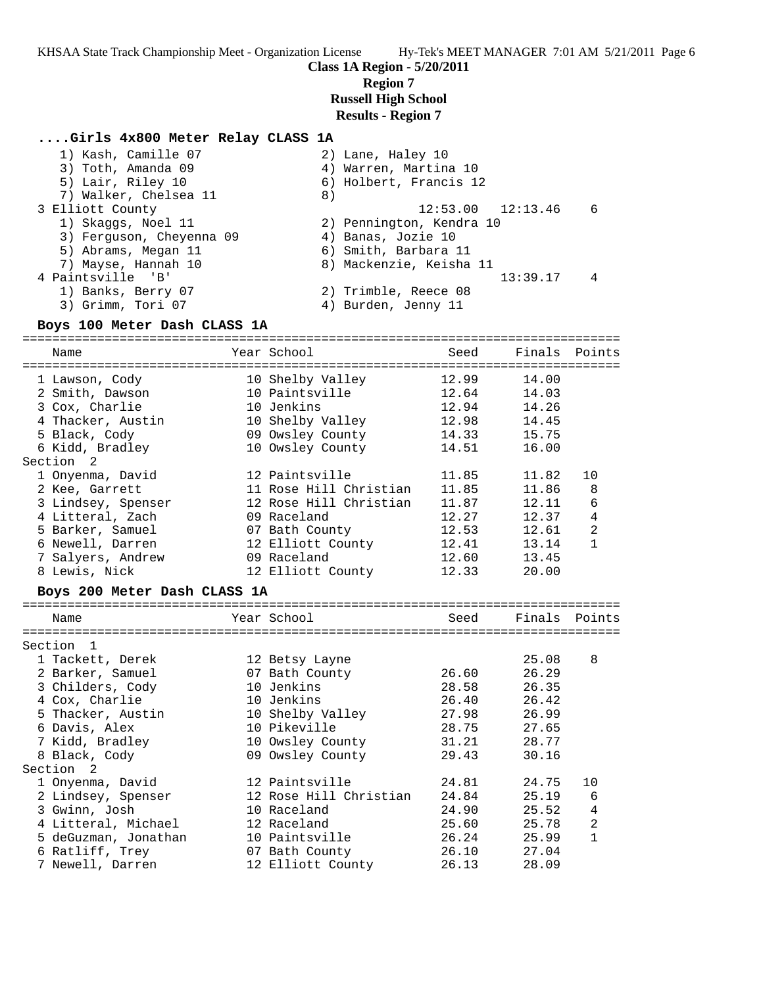**Class 1A Region - 5/20/2011**

**Region 7**

**Russell High School**

## **Results - Region 7**

#### **....Girls 4x800 Meter Relay CLASS 1A**

| 1) Kash, Camille 07      | 2) Lane, Haley 10        |                |
|--------------------------|--------------------------|----------------|
| 3) Toth, Amanda 09       | 4) Warren, Martina 10    |                |
| 5) Lair, Riley 10        | 6) Holbert, Francis 12   |                |
| 7) Walker, Chelsea 11    | 8)                       |                |
| 3 Elliott County         | $12:53.00$ $12:13.46$    | 6              |
| 1) Skaggs, Noel 11       | 2) Pennington, Kendra 10 |                |
| 3) Ferguson, Cheyenna 09 | 4) Banas, Jozie 10       |                |
| 5) Abrams, Megan 11      | 6) Smith, Barbara 11     |                |
| 7) Mayse, Hannah 10      | 8) Mackenzie, Keisha 11  |                |
| 4 Paintsville 'B'        | 13:39.17                 | $\overline{4}$ |
| 1) Banks, Berry 07       | 2) Trimble, Reece 08     |                |
| 3) Grimm, Tori 07        | 4) Burden, Jenny 11      |                |
|                          |                          |                |

#### **Boys 100 Meter Dash CLASS 1A**

================================================================================ Name The Year School Seed Finals Points ================================================================================ 1 Lawson, Cody 10 Shelby Valley 12.99 14.00 2 Smith, Dawson 10 Paintsville 12.64 14.03 3 Cox, Charlie 10 Jenkins 12.94 14.26 4 Thacker, Austin 10 Shelby Valley 12.98 14.45 5 Black, Cody 09 Owsley County 14.33 15.75 6 Kidd, Bradley 10 Owsley County 14.51 16.00 Section 2 1 Onyenma, David 12 Paintsville 11.85 11.82 10 2 Kee, Garrett 11 Rose Hill Christian 11.85 11.86 8 3 Lindsey, Spenser 12 Rose Hill Christian 11.87 12.11 6 4 Litteral, Zach 09 Raceland 12.27 12.37 4 5 Barker, Samuel 07 Bath County 12.53 12.61 2 6 Newell, Darren 12 Elliott County 12.41 13.14 1 7 Salyers, Andrew 09 Raceland 12.60 13.45 8 Lewis, Nick 12 Elliott County 12.33 20.00

#### **Boys 200 Meter Dash CLASS 1A**

| Name                      |  | Year School            | Seed  | Finals Points |                |  |  |
|---------------------------|--|------------------------|-------|---------------|----------------|--|--|
|                           |  |                        |       |               |                |  |  |
| Section<br>$\overline{1}$ |  |                        |       |               |                |  |  |
| 1 Tackett, Derek          |  | 12 Betsy Layne         |       | 25.08         | 8              |  |  |
| 2 Barker, Samuel          |  | 07 Bath County         | 26.60 | 26.29         |                |  |  |
| 3 Childers, Cody          |  | 10 Jenkins             | 28.58 | 26.35         |                |  |  |
| 4 Cox, Charlie            |  | 10 Jenkins             | 26.40 | 26.42         |                |  |  |
| 5 Thacker, Austin         |  | 10 Shelby Valley       | 27.98 | 26.99         |                |  |  |
| 6 Davis, Alex             |  | 10 Pikeville           | 28.75 | 27.65         |                |  |  |
| 7 Kidd, Bradley           |  | 10 Owsley County       | 31.21 | 28.77         |                |  |  |
| 8 Black, Cody             |  | 09 Owsley County       | 29.43 | 30.16         |                |  |  |
| Section <sub>2</sub>      |  |                        |       |               |                |  |  |
| 1 Onyenma, David          |  | 12 Paintsville         | 24.81 | 24.75         | 10             |  |  |
| 2 Lindsey, Spenser        |  | 12 Rose Hill Christian | 24.84 | 25.19         | 6              |  |  |
| 3 Gwinn, Josh             |  | 10 Raceland            | 24.90 | 25.52         | 4              |  |  |
| 4 Litteral, Michael       |  | 12 Raceland            | 25.60 | 25.78         | $\overline{2}$ |  |  |
| 5 deGuzman, Jonathan      |  | 10 Paintsville         | 26.24 | 25.99         |                |  |  |
| 6 Ratliff, Trey           |  | 07 Bath County         | 26.10 | 27.04         |                |  |  |
| 7 Newell, Darren          |  | 12 Elliott County      | 26.13 | 28.09         |                |  |  |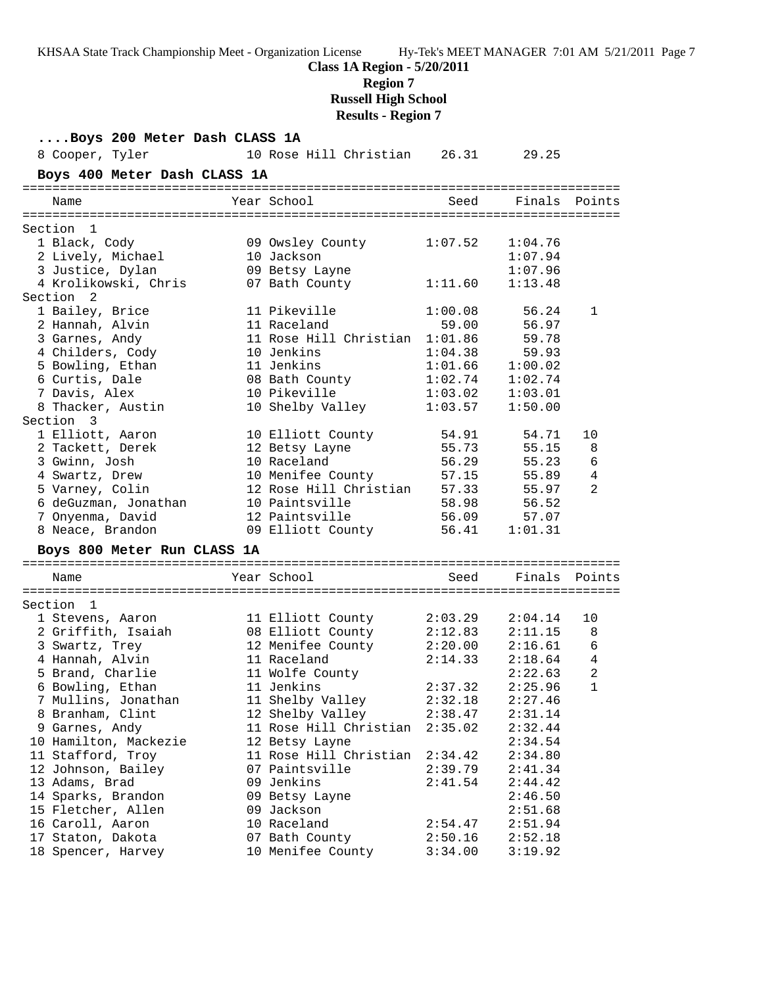**Class 1A Region - 5/20/2011**

**Region 7**

**Russell High School**

**Results - Region 7**

**....Boys 200 Meter Dash CLASS 1A** 8 Cooper, Tyler 10 Rose Hill Christian 26.31 29.25 **Boys 400 Meter Dash CLASS 1A** ================================================================================ Name Year School Seed Finals Points ================================================================================ Section 1 1 Black, Cody 09 Owsley County 1:07.52 1:04.76 2 Lively, Michael 10 Jackson 1:07.94 3 Justice, Dylan 09 Betsy Layne 1:07.96 4 Krolikowski, Chris 07 Bath County 1:11.60 1:13.48 Section 2 1 Bailey, Brice 11 Pikeville 1:00.08 56.24 1 2 Hannah, Alvin 11 Raceland 59.00 56.97 3 Garnes, Andy 11 Rose Hill Christian 1:01.86 59.78 4 Childers, Cody 10 Jenkins 1:04.38 59.93 5 Bowling, Ethan 11 Jenkins 1:01.66 1:00.02 6 Curtis, Dale 08 Bath County 1:02.74 1:02.74 7 Davis, Alex 10 Pikeville 1:03.02 1:03.01 8 Thacker, Austin 10 Shelby Valley 1:03.57 1:50.00 Section 3 1 Elliott, Aaron 10 Elliott County 54.91 54.71 10 2 Tackett, Derek 12 Betsy Layne 55.73 55.15 8 3 Gwinn, Josh 10 Raceland 56.29 55.23 6 4 Swartz, Drew 10 Menifee County 57.15 55.89 4 5 Varney, Colin 12 Rose Hill Christian 57.33 55.97 2 6 deGuzman, Jonathan 10 Paintsville 58.98 56.52 7 Onyenma, David 12 Paintsville 56.09 57.07 8 Neace, Brandon 09 Elliott County 56.41 1:01.31 **Boys 800 Meter Run CLASS 1A** ================================================================================ Name The Year School Contract Seed Finals Points ================================================================================ Section 1 1 Stevens, Aaron 11 Elliott County 2:03.29 2:04.14 10 2 Griffith, Isaiah 08 Elliott County 2:12.83 2:11.15 8 3 Swartz, Trey 12 Menifee County 2:20.00 2:16.61 6 4 Hannah, Alvin 11 Raceland 2:14.33 2:18.64 4 5 Brand, Charlie 11 Wolfe County 2:22.63 2 6 Bowling, Ethan 11 Jenkins 2:37.32 2:25.96 1 7 Mullins, Jonathan 11 Shelby Valley 2:32.18 2:27.46 8 Branham, Clint 12 Shelby Valley 2:38.47 2:31.14 9 Garnes, Andy 11 Rose Hill Christian 2:35.02 2:32.44 10 Hamilton, Mackezie 12 Betsy Layne 2:34.54 11 Stafford, Troy 11 Rose Hill Christian 2:34.42 2:34.80 12 Johnson, Bailey 07 Paintsville 2:39.79 2:41.34 13 Adams, Brad 09 Jenkins 2:41.54 2:44.42 14 Sparks, Brandon 09 Betsy Layne 2:46.50 15 Fletcher, Allen 09 Jackson 2:51.68 16 Caroll, Aaron 10 Raceland 2:54.47 2:51.94 17 Staton, Dakota 07 Bath County 2:50.16 2:52.18 18 Spencer, Harvey 10 Menifee County 3:34.00 3:19.92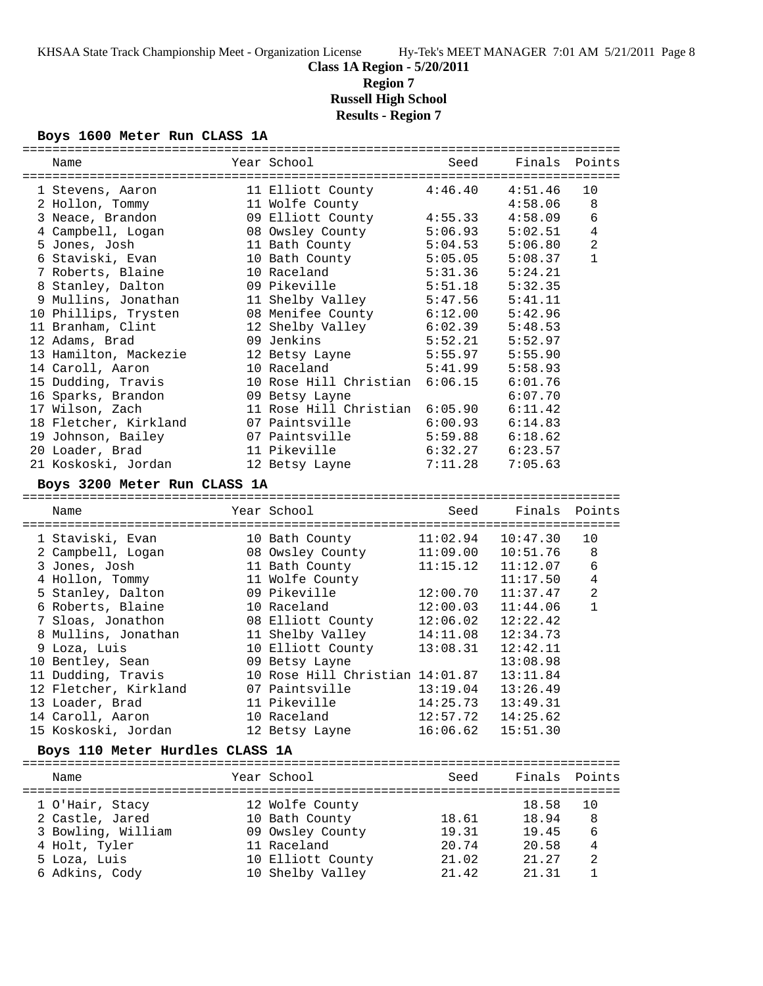**Class 1A Region - 5/20/2011**

**Region 7**

**Russell High School**

**Results - Region 7**

#### **Boys 1600 Meter Run CLASS 1A**

| Name                                  | Year School                        | Seed     | Finals Points       |                |
|---------------------------------------|------------------------------------|----------|---------------------|----------------|
|                                       | 11 Elliott County                  | 4:46.40  | 4:51.46             | 10             |
| 1 Stevens, Aaron                      | 11 Wolfe County                    |          | 4:58.06             | 8              |
| 2 Hollon, Tommy<br>3 Neace, Brandon   | 09 Elliott County                  | 4:55.33  | 4:58.09             | $\epsilon$     |
| 4 Campbell, Logan                     | 08 Owsley County                   | 5:06.93  | 5:02.51             | $\overline{4}$ |
| 5 Jones, Josh                         | 11 Bath County                     | 5:04.53  | 5:06.80             | $\overline{2}$ |
| 6 Staviski, Evan                      | 10 Bath County                     | 5:05.05  | 5:08.37             | $\mathbf{1}$   |
| 7 Roberts, Blaine                     | 10 Raceland                        | 5:31.36  | 5:24.21             |                |
| 8 Stanley, Dalton                     | 09 Pikeville                       | 5:51.18  | 5:32.35             |                |
| 9 Mullins, Jonathan                   | 11 Shelby Valley                   | 5:47.56  | 5:41.11             |                |
| 10 Phillips, Trysten                  | 08 Menifee County                  | 6:12.00  | 5:42.96             |                |
| 11 Branham, Clint                     | 12 Shelby Valley                   | 6:02.39  | 5:48.53             |                |
| 12 Adams, Brad                        | 09 Jenkins                         | 5:52.21  | 5:52.97             |                |
| 13 Hamilton, Mackezie                 | 12 Betsy Layne                     | 5:55.97  | 5:55.90             |                |
| 14 Caroll, Aaron                      | 10 Raceland                        | 5:41.99  | 5:58.93             |                |
| 15 Dudding, Travis                    | 10 Rose Hill Christian             | 6:06.15  | 6:01.76             |                |
| 16 Sparks, Brandon                    | 09 Betsy Layne                     |          | 6:07.70             |                |
| 17 Wilson, Zach                       | 11 Rose Hill Christian 6:05.90     |          | 6:11.42             |                |
| 18 Fletcher, Kirkland                 | 07 Paintsville                     | 6:00.93  | 6:14.83             |                |
| 19 Johnson, Bailey                    | 07 Paintsville                     | 5:59.88  | 6:18.62             |                |
| 20 Loader, Brad                       | 11 Pikeville                       | 6:32.27  | 6:23.57             |                |
| 21 Koskoski, Jordan                   | 12 Betsy Layne                     | 7:11.28  | 7:05.63             |                |
| Boys 3200 Meter Run CLASS 1A          |                                    |          |                     |                |
|                                       |                                    |          |                     |                |
| Name                                  | Year School                        | Seed     | Finals              | Points         |
|                                       |                                    | 11:02.94 | 10:47.30            | 10             |
| 1 Staviski, Evan<br>2 Campbell, Logan | 10 Bath County<br>08 Owsley County | 11:09.00 | 10:51.76            | 8              |
| 3 Jones, Josh                         | 11 Bath County                     | 11:15.12 | 11:12.07            | 6              |
| 4 Hollon, Tommy                       | 11 Wolfe County                    |          | 11:17.50            | 4              |
| 5 Stanley, Dalton                     | 09 Pikeville                       | 12:00.70 | 11:37.47            | $\overline{a}$ |
| 6 Roberts, Blaine                     | 10 Raceland                        | 12:00.03 | 11:44.06            | $\mathbf{1}$   |
| 7 Sloas, Jonathon                     | 08 Elliott County                  | 12:06.02 | 12:22.42            |                |
| 8 Mullins, Jonathan                   | 11 Shelby Valley                   | 14:11.08 | 12:34.73            |                |
| 9 Loza, Luis                          | 10 Elliott County                  | 13:08.31 | 12:42.11            |                |
| 10 Bentley, Sean                      | 09 Betsy Layne                     |          | 13:08.98            |                |
| 11 Dudding, Travis                    | 10 Rose Hill Christian 14:01.87    |          | 13:11.84            |                |
| 12 Fletcher, Kirkland                 | 07 Paintsville                     | 13:19.04 | 13:26.49            |                |
| 13 Loader, Brad                       | 11 Pikeville                       |          | 14:25.73   13:49.31 |                |
| 14 Caroll, Aaron                      | 10 Raceland                        | 12:57.72 | 14:25.62            |                |
| 15 Koskoski, Jordan                   | 12 Betsy Layne                     | 16:06.62 | 15:51.30            |                |
| Boys 110 Meter Hurdles CLASS 1A       |                                    |          |                     |                |
|                                       |                                    |          |                     |                |
| Name                                  | Year School                        | Seed     | Finals Points       |                |
| 1 O'Hair, Stacy                       | 12 Wolfe County                    |          | 18.58               | 10             |
| 2 Castle, Jared                       | 10 Bath County                     | 18.61    | 18.94               | 8              |
| 3 Bowling, William                    | 09 Owsley County                   | 19.31    | 19.45               | 6              |
| 4 Holt, Tyler                         | 11 Raceland                        | 20.74    | 20.58               | 4              |
| 5 Loza, Luis                          | 10 Elliott County                  | 21.02    | 21.27               | 2              |
| 6 Adkins, Cody                        | 10 Shelby Valley                   | 21.42    | 21.31               | 1              |
|                                       |                                    |          |                     |                |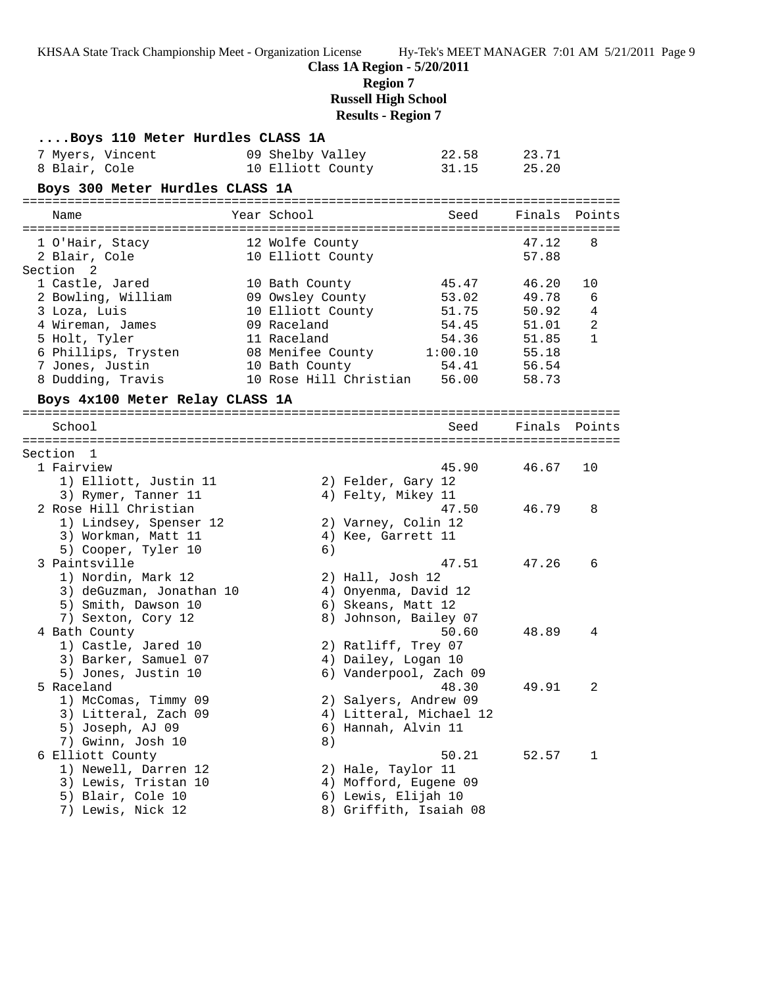KHSAA State Track Championship Meet - Organization License Hy-Tek's MEET MANAGER 7:01 AM 5/21/2011 Page 9 **Class 1A Region - 5/20/2011 Region 7 Russell High School Results - Region 7 ....Boys 110 Meter Hurdles CLASS 1A** 7 Myers, Vincent 09 Shelby Valley 22.58 23.71 8 Blair, Cole 10 Elliott County 31.15 25.20 **Boys 300 Meter Hurdles CLASS 1A** ================================================================================ Name The Year School Seed Finals Points ================================================================================ 1 O'Hair, Stacy 12 Wolfe County 47.12 8 2 Blair, Cole 10 Elliott County 57.88 Section 2 1 Castle, Jared 10 Bath County 45.47 46.20 10 2 Bowling, William 09 Owsley County 53.02 49.78 6 3 Loza, Luis 10 Elliott County 51.75 50.92 4 4 Wireman, James 09 Raceland 54.45 51.01 2 5 Holt, Tyler 11 Raceland 54.36 51.85 1 6 Phillips, Trysten 08 Menifee County 1:00.10 55.18 7 Jones, Justin 10 Bath County 54.41 56.54 8 Dudding, Travis 10 Rose Hill Christian 56.00 58.73 **Boys 4x100 Meter Relay CLASS 1A** ================================================================================ School Seed Finals Points ================================================================================ Section 1<br>1 Fairview 1 Fairview 45.90 46.67 10 1) Elliott, Justin 11 2) Felder, Gary 12 3) Rymer, Tanner 11 (4) Felty, Mikey 11 2 Rose Hill Christian 47.50 46.79 8 1) Lindsey, Spenser 12 2) Varney, Colin 12 3) Workman, Matt 11 (4) Kee, Garrett 11 5) Cooper, Tyler 10 6) 3 Paintsville 47.51 47.26 6 1) Nordin, Mark 12 2) Hall, Josh 12 3) deGuzman, Jonathan 10 4) Onyenma, David 12 5) Smith, Dawson 10 6) Skeans, Matt 12 7) Sexton, Cory 12 8) Johnson, Bailey 07 4 Bath County 50.60 48.89 4 1) Castle, Jared 10 2) Ratliff, Trey 07 3) Barker, Samuel 07 4) Dailey, Logan 10 5) Jones, Justin 10 6) Vanderpool, Zach 09 5 Raceland 48.30 49.91 2 1) McComas, Timmy 09 2) Salyers, Andrew 09 3) Litteral, Zach 09 4) Litteral, Michael 12 5) Joseph, AJ 09 6) Hannah, Alvin 11 7) Gwinn, Josh 10 8) 6 Elliott County 50.21 52.57 1 1) Newell, Darren 12 2) Hale, Taylor 11 3) Lewis, Tristan 10 4) Mofford, Eugene 09 5) Blair, Cole 10 6) Lewis, Elijah 10

7) Lewis, Nick 12 8) Griffith, Isaiah 08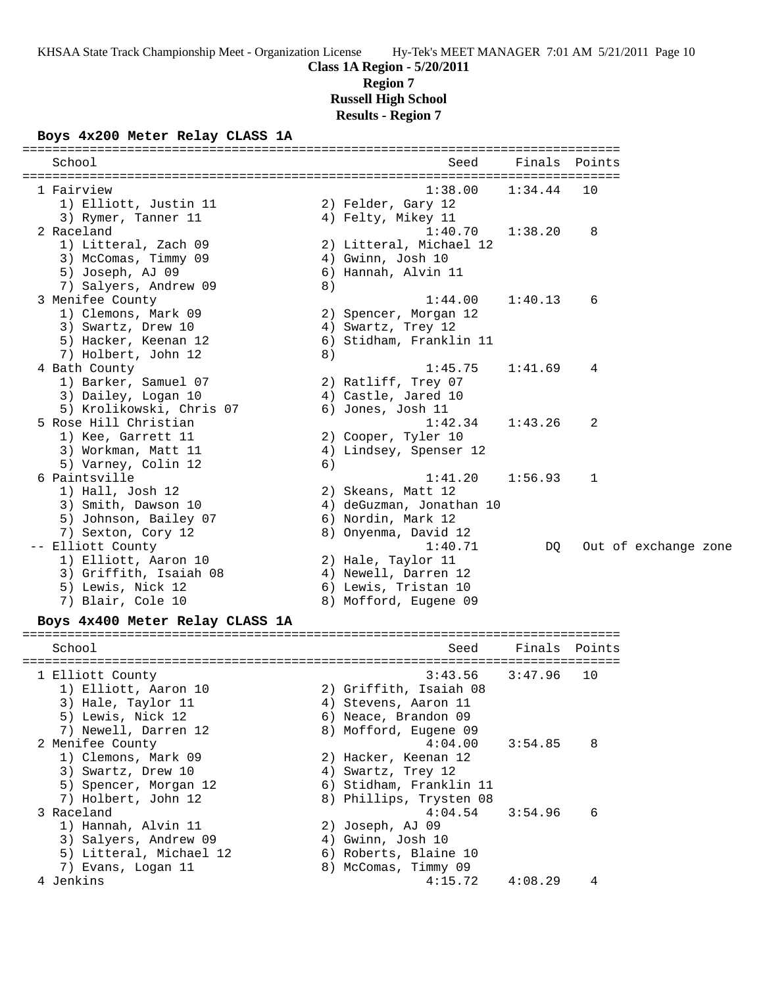## **Class 1A Region - 5/20/2011 Region 7 Russell High School Results - Region 7**

## **Boys 4x200 Meter Relay CLASS 1A**

| School                                      |    | Seed                            | Finals  | Points |                      |  |
|---------------------------------------------|----|---------------------------------|---------|--------|----------------------|--|
| 1 Fairview                                  |    | 1:38.00                         | 1:34.44 | 10     |                      |  |
| 1) Elliott, Justin 11                       |    | 2) Felder, Gary 12              |         |        |                      |  |
| 3) Rymer, Tanner 11                         |    | 4) Felty, Mikey 11              |         |        |                      |  |
| 2 Raceland                                  |    | 1:40.70                         | 1:38.20 | 8      |                      |  |
| 1) Litteral, Zach 09                        |    | 2) Litteral, Michael 12         |         |        |                      |  |
| 3) McComas, Timmy 09                        |    | 4) Gwinn, Josh 10               |         |        |                      |  |
| 5) Joseph, AJ 09                            |    | 6) Hannah, Alvin 11             |         |        |                      |  |
| 7) Salyers, Andrew 09                       | 8) |                                 |         |        |                      |  |
| 3 Menifee County                            |    | 1:44.00                         | 1:40.13 | 6      |                      |  |
| 1) Clemons, Mark 09                         |    | 2) Spencer, Morgan 12           |         |        |                      |  |
| 3) Swartz, Drew 10                          |    | 4) Swartz, Trey 12              |         |        |                      |  |
| 5) Hacker, Keenan 12                        |    | 6) Stidham, Franklin 11         |         |        |                      |  |
| 7) Holbert, John 12                         | 8) |                                 |         |        |                      |  |
| 4 Bath County                               |    | 1:45.75                         | 1:41.69 | 4      |                      |  |
| 1) Barker, Samuel 07                        |    | 2) Ratliff, Trey 07             |         |        |                      |  |
| 3) Dailey, Logan 10                         |    | 4) Castle, Jared 10             |         |        |                      |  |
| 5) Krolikowski, Chris 07                    |    | 6) Jones, Josh 11               |         |        |                      |  |
| 5 Rose Hill Christian                       |    | 1:42.34                         | 1:43.26 | 2      |                      |  |
| 1) Kee, Garrett 11                          |    | 2) Cooper, Tyler 10             |         |        |                      |  |
| 3) Workman, Matt 11                         |    | 4) Lindsey, Spenser 12          |         |        |                      |  |
| 5) Varney, Colin 12                         | 6) |                                 |         |        |                      |  |
| 6 Paintsville                               |    | 1:41.20                         | 1:56.93 | 1      |                      |  |
| 1) Hall, Josh 12                            |    | 2) Skeans, Matt 12              |         |        |                      |  |
| 3) Smith, Dawson 10                         |    | 4) deGuzman, Jonathan 10        |         |        |                      |  |
| 5) Johnson, Bailey 07<br>7) Sexton, Cory 12 |    | 6) Nordin, Mark 12              |         |        |                      |  |
| -- Elliott County                           |    | 8) Onyenma, David 12<br>1:40.71 |         |        |                      |  |
| 1) Elliott, Aaron 10                        |    | 2) Hale, Taylor 11              | DQ.     |        | Out of exchange zone |  |
| 3) Griffith, Isaiah 08                      |    | 4) Newell, Darren 12            |         |        |                      |  |
| 5) Lewis, Nick 12                           |    | 6) Lewis, Tristan 10            |         |        |                      |  |
| 7) Blair, Cole 10                           |    | 8) Mofford, Eugene 09           |         |        |                      |  |
| Boys 4x400 Meter Relay CLASS 1A             |    |                                 |         |        |                      |  |
|                                             |    |                                 |         |        |                      |  |
| School                                      |    | Seed                            | Finals  | Points |                      |  |
| 1 Elliott County                            |    | 3:43.56                         | 3:47.96 | 10     |                      |  |
| 1) Elliott, Aaron 10                        |    | 2) Griffith, Isaiah 08          |         |        |                      |  |
| 3) Hale, Taylor 11                          |    | 4) Stevens, Aaron 11            |         |        |                      |  |
| 5) Lewis, Nick 12                           |    | 6) Neace, Brandon 09            |         |        |                      |  |
| 7) Newell, Darren 12                        |    | 8) Mofford, Eugene 09           |         |        |                      |  |
| 2 Menifee County                            |    | 4:04.00                         | 3:54.85 | 8      |                      |  |
| 1) Clemons, Mark 09                         |    | 2) Hacker, Keenan 12            |         |        |                      |  |
| 3) Swartz, Drew 10                          |    | 4) Swartz, Trey 12              |         |        |                      |  |
| 5) Spencer, Morgan 12                       |    | 6) Stidham, Franklin 11         |         |        |                      |  |
| 7) Holbert, John 12                         |    | 8) Phillips, Trysten 08         |         |        |                      |  |
| 3 Raceland                                  |    | 4:04.54                         | 3:54.96 | 6      |                      |  |
| 1) Hannah, Alvin 11                         |    | 2) Joseph, AJ 09                |         |        |                      |  |
| 3) Salyers, Andrew 09                       |    | 4) Gwinn, Josh 10               |         |        |                      |  |
| 5) Litteral, Michael 12                     |    | 6) Roberts, Blaine 10           |         |        |                      |  |
| 7) Evans, Logan 11                          |    | 8) McComas, Timmy 09            |         |        |                      |  |
| 4 Jenkins                                   |    | 4:15.72                         | 4:08.29 | 4      |                      |  |